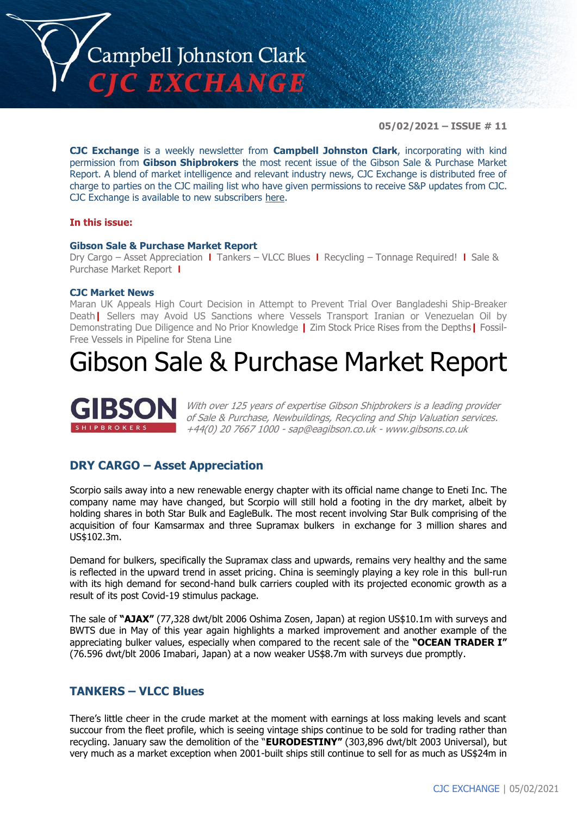

**05/02/2021 – ISSUE # 11**

**CJC Exchange** is a weekly newsletter from **Campbell Johnston Clark**, incorporating with kind permission from **Gibson Shipbrokers** the most recent issue of the Gibson Sale & Purchase Market Report. A blend of market intelligence and relevant industry news, CJC Exchange is distributed free of charge to parties on the CJC mailing list who have given permissions to receive S&P updates from CJC. CJC Exchange is available to new subscribers [here.](mailto:jamesc@cjclaw.com?subject=CJC%20Exchange%20sign-up)

### **In this issue:**

### **Gibson Sale & Purchase Market Report**

Dry Cargo – Asset Appreciation **|** Tankers – VLCC Blues **|** Recycling – Tonnage Required! **|** Sale & Purchase Market Report **|**

### **CJC Market News**

Maran UK Appeals High Court Decision in Attempt to Prevent Trial Over Bangladeshi Ship-Breaker Death**|** Sellers may Avoid US Sanctions where Vessels Transport Iranian or Venezuelan Oil by Demonstrating Due Diligence and No Prior Knowledge **|** Zim Stock Price Rises from the Depths**|** Fossil-Free Vessels in Pipeline for Stena Line

## Gibson Sale & Purchase Market Report



With over 125 years of expertise Gibson Shipbrokers is a leading provider of Sale & Purchase, Newbuildings, Recycling and Ship Valuation services. +44(0) 20 7667 1000 - [sap@eagibson.co.uk](mailto:sap@eagibson.co.uk) - [www.gibsons.co.uk](https://protect-eu.mimecast.com/s/VO6nCGZzRS60KqcK1jQh/)

### **DRY CARGO – Asset Appreciation**

Scorpio sails away into a new renewable energy chapter with its official name change to Eneti Inc. The company name may have changed, but Scorpio will still hold a footing in the dry market, albeit by holding shares in both Star Bulk and EagleBulk. The most recent involving Star Bulk comprising of the acquisition of four Kamsarmax and three Supramax bulkers in exchange for 3 million shares and US\$102.3m.

Demand for bulkers, specifically the Supramax class and upwards, remains very healthy and the same is reflected in the upward trend in asset pricing. China is seemingly playing a key role in this bull-run with its high demand for second-hand bulk carriers coupled with its projected economic growth as a result of its post Covid-19 stimulus package.

The sale of **"AJAX"** (77,328 dwt/blt 2006 Oshima Zosen, Japan) at region US\$10.1m with surveys and BWTS due in May of this year again highlights a marked improvement and another example of the appreciating bulker values, especially when compared to the recent sale of the **"OCEAN TRADER I"** (76.596 dwt/blt 2006 Imabari, Japan) at a now weaker US\$8.7m with surveys due promptly.

### **TANKERS – VLCC Blues**

There's little cheer in the crude market at the moment with earnings at loss making levels and scant succour from the fleet profile, which is seeing vintage ships continue to be sold for trading rather than recycling. January saw the demolition of the "**EURODESTINY"** (303,896 dwt/blt 2003 Universal), but very much as a market exception when 2001-built ships still continue to sell for as much as US\$24m in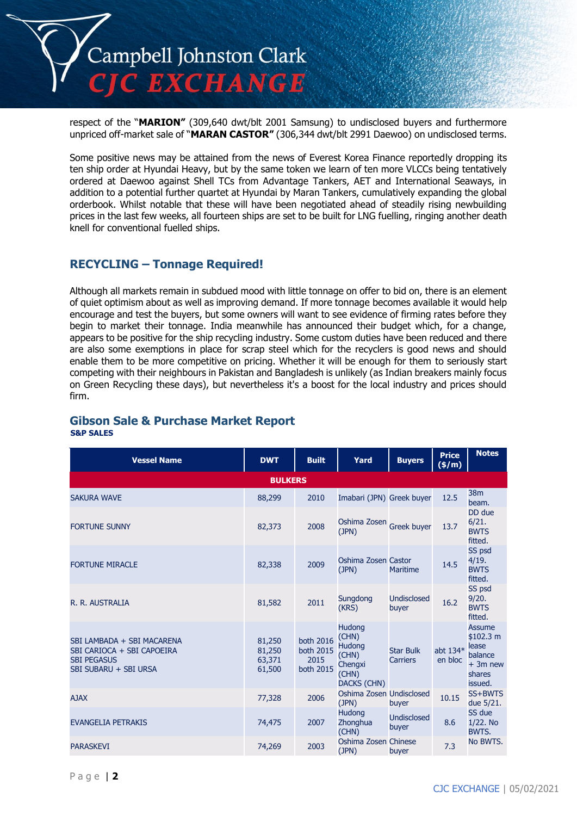

respect of the "**MARION"** (309,640 dwt/blt 2001 Samsung) to undisclosed buyers and furthermore unpriced off-market sale of "**MARAN CASTOR"** (306,344 dwt/blt 2991 Daewoo) on undisclosed terms.

Some positive news may be attained from the news of Everest Korea Finance reportedly dropping its ten ship order at Hyundai Heavy, but by the same token we learn of ten more VLCCs being tentatively ordered at Daewoo against Shell TCs from Advantage Tankers, AET and International Seaways, in addition to a potential further quartet at Hyundai by Maran Tankers, cumulatively expanding the global orderbook. Whilst notable that these will have been negotiated ahead of steadily rising newbuilding prices in the last few weeks, all fourteen ships are set to be built for LNG fuelling, ringing another death knell for conventional fuelled ships.

### **RECYCLING – Tonnage Required!**

Although all markets remain in subdued mood with little tonnage on offer to bid on, there is an element of quiet optimism about as well as improving demand. If more tonnage becomes available it would help encourage and test the buyers, but some owners will want to see evidence of firming rates before they begin to market their tonnage. India meanwhile has announced their budget which, for a change, appears to be positive for the ship recycling industry. Some custom duties have been reduced and there are also some exemptions in place for scrap steel which for the recyclers is good news and should enable them to be more competitive on pricing. Whether it will be enough for them to seriously start competing with their neighbours in Pakistan and Bangladesh is unlikely (as Indian breakers mainly focus on Green Recycling these days), but nevertheless it's a boost for the local industry and prices should firm.

### **Gibson Sale & Purchase Market Report S&P SALES**

| <b>Vessel Name</b>                                                                                      | <b>DWT</b>                           | <b>Built</b>                                       | Yard                                                                         | <b>Buyers</b>                       | <b>Price</b><br>(\$/m) | <b>Notes</b>                                                                     |  |  |  |
|---------------------------------------------------------------------------------------------------------|--------------------------------------|----------------------------------------------------|------------------------------------------------------------------------------|-------------------------------------|------------------------|----------------------------------------------------------------------------------|--|--|--|
| <b>BULKERS</b>                                                                                          |                                      |                                                    |                                                                              |                                     |                        |                                                                                  |  |  |  |
| <b>SAKURA WAVE</b>                                                                                      | 88,299                               | 2010                                               | Imabari (JPN) Greek buyer                                                    |                                     | 12.5                   | 38 <sub>m</sub><br>beam.                                                         |  |  |  |
| <b>FORTUNE SUNNY</b>                                                                                    | 82,373                               | 2008                                               | Oshima Zosen Greek buyer<br>(JPN)                                            |                                     | 13.7                   | DD due<br>6/21.<br><b>BWTS</b><br>fitted.                                        |  |  |  |
| <b>FORTUNE MIRACLE</b>                                                                                  | 82,338                               | 2009                                               | Oshima Zosen Castor<br>(JPN)                                                 | Maritime                            | 14.5                   | SS psd<br>4/19.<br><b>BWTS</b><br>fitted.                                        |  |  |  |
| R. R. AUSTRALIA                                                                                         | 81,582                               | 2011                                               | Sungdong<br>(KRS)                                                            | <b>Undisclosed</b><br>buyer         | 16.2                   | SS psd<br>9/20.<br><b>BWTS</b><br>fitted.                                        |  |  |  |
| SBI LAMBADA + SBI MACARENA<br>SBI CARIOCA + SBI CAPOEIRA<br><b>SBI PEGASUS</b><br>SBI SUBARU + SBI URSA | 81,250<br>81,250<br>63,371<br>61,500 | both 2016<br><b>both 2015</b><br>2015<br>both 2015 | Hudong<br>(CHN)<br><b>Hudong</b><br>(CHN)<br>Chengxi<br>(CHN)<br>DACKS (CHN) | <b>Star Bulk</b><br><b>Carriers</b> | abt $134*$<br>en bloc  | <b>Assume</b><br>\$102.3 m<br>lease<br>balance<br>$+3m$ new<br>shares<br>issued. |  |  |  |
| <b>AJAX</b>                                                                                             | 77,328                               | 2006                                               | Oshima Zosen Undisclosed<br>(JPN)                                            | buyer                               | 10.15                  | SS+BWTS<br>due 5/21.                                                             |  |  |  |
| <b>EVANGELIA PETRAKIS</b>                                                                               | 74,475                               | 2007                                               | <b>Hudong</b><br>Zhonghua<br>(CHN)                                           | <b>Undisclosed</b><br>buyer         | 8.6                    | SS due<br>1/22. No<br>BWTS.                                                      |  |  |  |
| <b>PARASKEVI</b>                                                                                        | 74,269                               | 2003                                               | Oshima Zosen Chinese<br>(JPN)                                                | buyer                               | 7.3                    | No BWTS.                                                                         |  |  |  |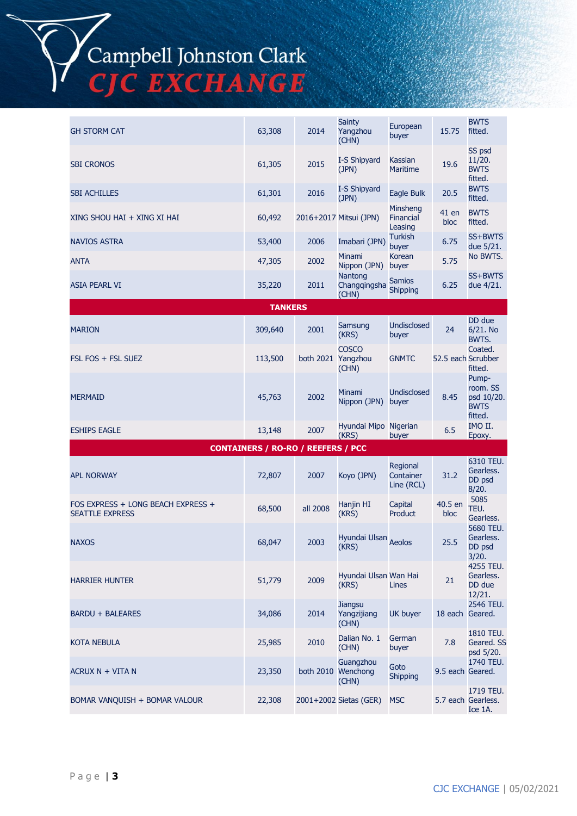# Campbell Johnston Clark<br>CJC EXCHANGE

| <b>GH STORM CAT</b>                                          | 63,308                                    | 2014               | <b>Sainty</b><br>Yangzhou<br>(CHN)       | European<br>buyer                   | 15.75              | <b>BWTS</b><br>fitted.                                    |
|--------------------------------------------------------------|-------------------------------------------|--------------------|------------------------------------------|-------------------------------------|--------------------|-----------------------------------------------------------|
| <b>SBI CRONOS</b>                                            | 61,305                                    | 2015               | I-S Shipyard<br>(JPN)                    | Kassian<br><b>Maritime</b>          | 19.6               | SS psd<br>11/20.<br><b>BWTS</b><br>fitted.                |
| <b>SBI ACHILLES</b>                                          | 61,301                                    | 2016               | I-S Shipyard<br>(JPN)                    | Eagle Bulk                          | 20.5               | <b>BWTS</b><br>fitted.                                    |
| XING SHOU HAI + XING XI HAI                                  | 60,492                                    |                    | 2016+2017 Mitsui (JPN)                   | Minsheng<br>Financial<br>Leasing    | 41 en<br>bloc      | <b>BWTS</b><br>fitted.                                    |
| <b>NAVIOS ASTRA</b>                                          | 53,400                                    | 2006               | Imabari (JPN)                            | <b>Turkish</b><br>buyer             | 6.75               | SS+BWTS<br>due 5/21.                                      |
| <b>ANTA</b>                                                  | 47,305                                    | 2002               | Minami<br>Nippon (JPN)                   | Korean<br>buyer                     | 5.75               | No BWTS.                                                  |
| <b>ASIA PEARL VI</b>                                         | 35,220                                    | 2011               | Nantong<br>Changqingsha<br>(CHN)         | <b>Samios</b><br>Shipping           | 6.25               | SS+BWTS<br>due 4/21.                                      |
|                                                              | <b>TANKERS</b>                            |                    |                                          |                                     |                    |                                                           |
| <b>MARION</b>                                                | 309,640                                   | 2001               | Samsung<br>(KRS)                         | Undisclosed<br>buyer                | 24                 | DD due<br>6/21. No<br>BWTS.                               |
| FSL FOS + FSL SUEZ                                           | 113,500                                   | both 2021 Yangzhou | <b>COSCO</b><br>(CHN)                    | <b>GNMTC</b>                        | 52.5 each Scrubber | Coated.<br>fitted.                                        |
| <b>MERMAID</b>                                               | 45,763                                    | 2002               | Minami<br>Nippon (JPN)                   | <b>Undisclosed</b><br>buyer         | 8.45               | Pump-<br>room. SS<br>psd 10/20.<br><b>BWTS</b><br>fitted. |
| <b>ESHIPS EAGLE</b>                                          | 13,148                                    | 2007               | Hyundai Mipo Nigerian<br>(KRS)           | buyer                               | 6.5                | IMO II.<br>Epoxy.                                         |
|                                                              | <b>CONTAINERS / RO-RO / REEFERS / PCC</b> |                    |                                          |                                     |                    |                                                           |
| <b>APL NORWAY</b>                                            | 72,807                                    | 2007               | Koyo (JPN)                               | Regional<br>Container<br>Line (RCL) | 31.2               | 6310 TEU.<br>Gearless.<br>DD psd<br>8/20.                 |
| FOS EXPRESS + LONG BEACH EXPRESS +<br><b>SEATTLE EXPRESS</b> | 68,500                                    | all 2008           | Hanjin HI<br>(KRS)                       | Capital<br>Product                  | 40.5 en<br>bloc    | 5085<br>TEU.<br>Gearless.                                 |
| <b>NAXOS</b>                                                 | 68,047                                    | 2003               | Hyundai Ulsan Aeolos<br>(KRS)            |                                     | 25.5               | 5680 TEU.<br>Gearless.<br>DD psd<br>3/20.                 |
| <b>HARRIER HUNTER</b>                                        | 51,779                                    | 2009               | Hyundai Ulsan Wan Hai<br>(KRS)           | Lines                               | 21                 | 4255 TEU.<br>Gearless.<br>DD due<br>12/21.                |
| <b>BARDU + BALEARES</b>                                      | 34,086                                    | 2014               | <b>Jiangsu</b><br>Yangzijiang<br>(CHN)   | <b>UK buyer</b>                     | 18 each Geared.    | 2546 TEU.                                                 |
| <b>KOTA NEBULA</b>                                           | 25,985                                    | 2010               | Dalian No. 1<br>(CHN)                    | German<br>buyer                     | 7.8                | 1810 TEU.<br>Geared. SS<br>psd 5/20.                      |
| ACRUX N + VITA N                                             | 23,350                                    |                    | Guangzhou<br>both 2010 Wenchong<br>(CHN) | Goto<br><b>Shipping</b>             | 9.5 each Geared.   | 1740 TEU.                                                 |
| BOMAR VANQUISH + BOMAR VALOUR                                | 22,308                                    |                    | 2001+2002 Sietas (GER)                   | <b>MSC</b>                          |                    | 1719 TEU.<br>5.7 each Gearless.<br>Ice 1A.                |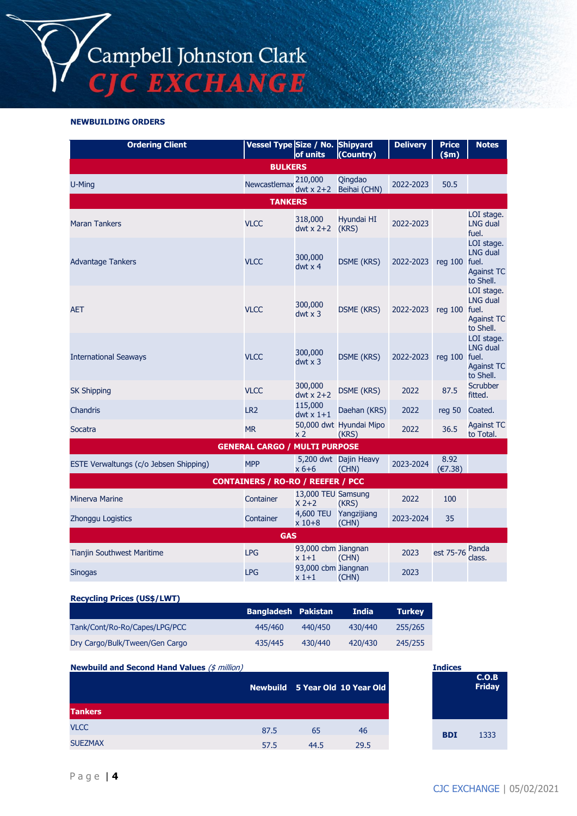Campbell Johnston Clark<br>CJC EXCHANGE

**NEWBUILDING ORDERS**

| <b>Ordering Client</b>                   | Vessel Type Size / No. Shipyard      | of units                      | (Country)                        | <b>Delivery</b> | <b>Price</b><br>$(\text{sm})$ | <b>Notes</b>                                                             |  |  |
|------------------------------------------|--------------------------------------|-------------------------------|----------------------------------|-----------------|-------------------------------|--------------------------------------------------------------------------|--|--|
| <b>BULKERS</b>                           |                                      |                               |                                  |                 |                               |                                                                          |  |  |
| U-Ming                                   | Newcastlemax                         | 210,000<br>dwt $x$ 2+2        | Qingdao<br>Beihai (CHN)          | 2022-2023       | 50.5                          |                                                                          |  |  |
|                                          | <b>TANKERS</b>                       |                               |                                  |                 |                               |                                                                          |  |  |
| <b>Maran Tankers</b>                     | <b>VLCC</b>                          | 318,000<br>dwt x $2+2$        | Hyundai HI<br>(KRS)              | 2022-2023       |                               | LOI stage.<br><b>LNG dual</b><br>fuel.                                   |  |  |
| <b>Advantage Tankers</b>                 | VLCC                                 | 300,000<br>$dwt \times 4$     | <b>DSME (KRS)</b>                | 2022-2023       | $req$ 100                     | LOI stage.<br>LNG dual<br>fuel.<br><b>Against TC</b><br>to Shell.        |  |  |
| <b>AET</b>                               | <b>VLCC</b>                          | 300,000<br>$dwt \times 3$     | <b>DSME (KRS)</b>                | 2022-2023       | $req$ 100                     | LOI stage.<br><b>LNG dual</b><br>fuel.<br><b>Against TC</b><br>to Shell. |  |  |
| <b>International Seaways</b>             | <b>VLCC</b>                          | 300,000<br>$dwt \times 3$     | <b>DSME (KRS)</b>                | 2022-2023       | reg $100$                     | LOI stage.<br><b>LNG dual</b><br>fuel.<br><b>Against TC</b><br>to Shell. |  |  |
| <b>SK Shipping</b>                       | <b>VLCC</b>                          | 300,000<br>dwt $x$ 2+2        | <b>DSME (KRS)</b>                | 2022            | 87.5                          | <b>Scrubber</b><br>fitted.                                               |  |  |
| Chandris                                 | LR <sub>2</sub>                      | 115,000<br>dwt $x$ 1+1        | Daehan (KRS)                     | 2022            | reg 50                        | Coated.                                                                  |  |  |
| Socatra                                  | <b>MR</b>                            | x 2                           | 50,000 dwt Hyundai Mipo<br>(KRS) | 2022            | 36.5                          | <b>Against TC</b><br>to Total.                                           |  |  |
|                                          | <b>GENERAL CARGO / MULTI PURPOSE</b> |                               |                                  |                 |                               |                                                                          |  |  |
| ESTE Verwaltungs (c/o Jebsen Shipping)   | <b>MPP</b>                           | $x 6+6$                       | 5,200 dwt Dajin Heavy<br>(CHN)   | 2023-2024       | 8.92<br>(€7.38)               |                                                                          |  |  |
| <b>CONTAINERS / RO-RO / REEFER / PCC</b> |                                      |                               |                                  |                 |                               |                                                                          |  |  |
| <b>Minerva Marine</b>                    | Container                            | 13,000 TEU Samsung<br>$X$ 2+2 | (KRS)                            | 2022            | 100                           |                                                                          |  |  |
| Zhonggu Logistics                        | Container                            | 4,600 TEU<br>$x 10 + 8$       | Yangzijiang<br>(CHN)             | 2023-2024       | 35                            |                                                                          |  |  |
| <b>GAS</b>                               |                                      |                               |                                  |                 |                               |                                                                          |  |  |
| <b>Tianjin Southwest Maritime</b>        | <b>LPG</b>                           | 93,000 cbm Jiangnan<br>$x1+1$ | (CHN)                            | 2023            | est 75-76                     | Panda<br>class.                                                          |  |  |
| <b>Sinogas</b>                           | <b>LPG</b>                           | 93,000 cbm Jiangnan<br>x 1+1  | (CHN)                            | 2023            |                               |                                                                          |  |  |

### **Recycling Prices (US\$/LWT)**

Page | **4**

|                                | Bangladesh Pakistan |         | <b>India</b> | <b>Turkey</b> |
|--------------------------------|---------------------|---------|--------------|---------------|
| Tank/Cont/Ro-Ro/Capes/LPG/PCC  | 445/460             | 440/450 | 430/440      | 255/265       |
| Dry Cargo/Bulk/Tween/Gen Cargo | 435/445             | 430/440 | 420/430      | 245/255       |

| <b>Newbuild and Second Hand Values (\$ million)</b> |      |      |                                 | <b>Indices</b> |
|-----------------------------------------------------|------|------|---------------------------------|----------------|
|                                                     |      |      | Newbuild 5 Year Old 10 Year Old |                |
| <b>Tankers</b>                                      |      |      |                                 |                |
| <b>VLCC</b>                                         | 87.5 | 65   | 46                              | <b>BDI</b>     |
| <b>SUEZMAX</b>                                      | 57.5 | 44.5 | 29.5                            |                |

**C.O.B Friday**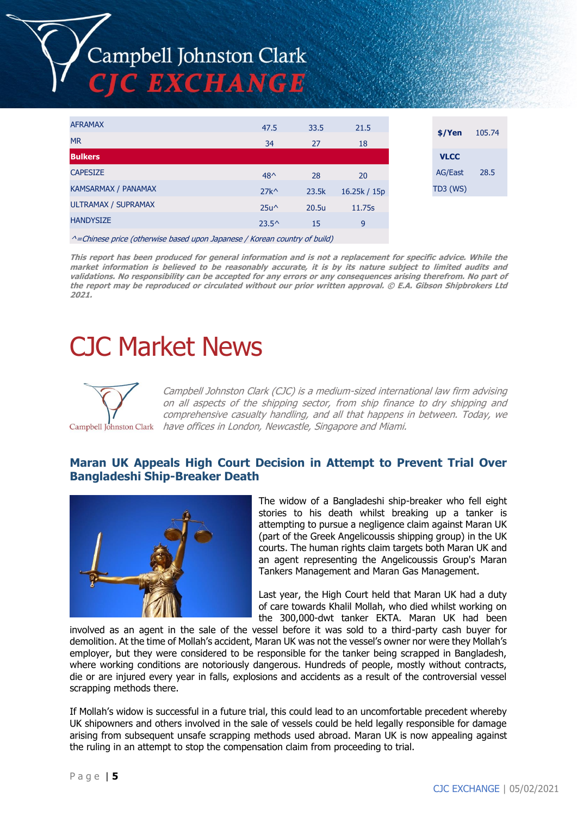# Campbell Johnston Clark **C EXCHANGE**

| <b>AFRAMAX</b>             | 47.5                                                                                                                                                                                                                                                                                                                               | 33.5  | 21.5         |                 | $$$ /Yen    | 105.74 |
|----------------------------|------------------------------------------------------------------------------------------------------------------------------------------------------------------------------------------------------------------------------------------------------------------------------------------------------------------------------------|-------|--------------|-----------------|-------------|--------|
| <b>MR</b>                  | 34                                                                                                                                                                                                                                                                                                                                 | 27    | 18           |                 |             |        |
| <b>Bulkers</b>             |                                                                                                                                                                                                                                                                                                                                    |       |              |                 | <b>VLCC</b> |        |
| <b>CAPESIZE</b>            | $48^$                                                                                                                                                                                                                                                                                                                              | 28    | 20           |                 | AG/East     | 28.5   |
| <b>KAMSARMAX / PANAMAX</b> | $27k^{\wedge}$                                                                                                                                                                                                                                                                                                                     | 23.5k | 16.25k / 15p | <b>TD3 (WS)</b> |             |        |
| <b>ULTRAMAX / SUPRAMAX</b> | $25u^{\wedge}$                                                                                                                                                                                                                                                                                                                     | 20.5u | 11.75s       |                 |             |        |
| <b>HANDYSIZE</b>           | $23.5^{\circ}$                                                                                                                                                                                                                                                                                                                     | 15    | 9            |                 |             |        |
| $\sim$ $\sim$              | $\mathbf{u}$ $\mathbf{v}$ $\mathbf{v}$ $\mathbf{v}$ $\mathbf{v}$ $\mathbf{v}$ $\mathbf{v}$ $\mathbf{v}$ $\mathbf{v}$ $\mathbf{v}$ $\mathbf{v}$ $\mathbf{v}$ $\mathbf{v}$ $\mathbf{v}$ $\mathbf{v}$ $\mathbf{v}$ $\mathbf{v}$ $\mathbf{v}$ $\mathbf{v}$ $\mathbf{v}$ $\mathbf{v}$ $\mathbf{v}$ $\mathbf{v}$ $\mathbf{v}$ $\mathbf{$ |       |              |                 |             |        |

^=Chinese price (otherwise based upon Japanese / Korean country of build)

**This report has been produced for general information and is not a replacement for specific advice. While the market information is believed to be reasonably accurate, it is by its nature subject to limited audits and validations. No responsibility can be accepted for any errors or any consequences arising therefrom. No part of the report may be reproduced or circulated without our prior written approval. © E.A. Gibson Shipbrokers Ltd 2021.**

## CJC Market News



Campbell Johnston Clark (CJC) is a medium-sized international law firm advising on all aspects of the shipping sector, from ship finance to dry shipping and comprehensive casualty handling, and all that happens in between. Today, we have offices in London, Newcastle, Singapore and Miami.

### **Maran UK Appeals High Court Decision in Attempt to Prevent Trial Over Bangladeshi Ship-Breaker Death**



The widow of a Bangladeshi ship-breaker who fell eight stories to his death whilst breaking up a tanker is attempting to pursue a negligence claim against Maran UK (part of the Greek Angelicoussis shipping group) in the UK courts. The human rights claim targets both Maran UK and an agent representing the Angelicoussis Group's Maran Tankers Management and Maran Gas Management.

Last year, the High Court held that Maran UK had a duty of care towards Khalil Mollah, who died whilst working on the 300,000-dwt tanker EKTA. Maran UK had been

involved as an agent in the sale of the vessel before it was sold to a third-party cash buyer for demolition. At the time of Mollah's accident, Maran UK was not the vessel's owner nor were they Mollah's employer, but they were considered to be responsible for the tanker being scrapped in Bangladesh, where working conditions are notoriously dangerous. Hundreds of people, mostly without contracts, die or are injured every year in falls, explosions and accidents as a result of the controversial vessel scrapping methods there.

If Mollah's widow is successful in a future trial, this could lead to an uncomfortable precedent whereby UK shipowners and others involved in the sale of vessels could be held legally responsible for damage arising from subsequent unsafe scrapping methods used abroad. Maran UK is now appealing against the ruling in an attempt to stop the compensation claim from proceeding to trial.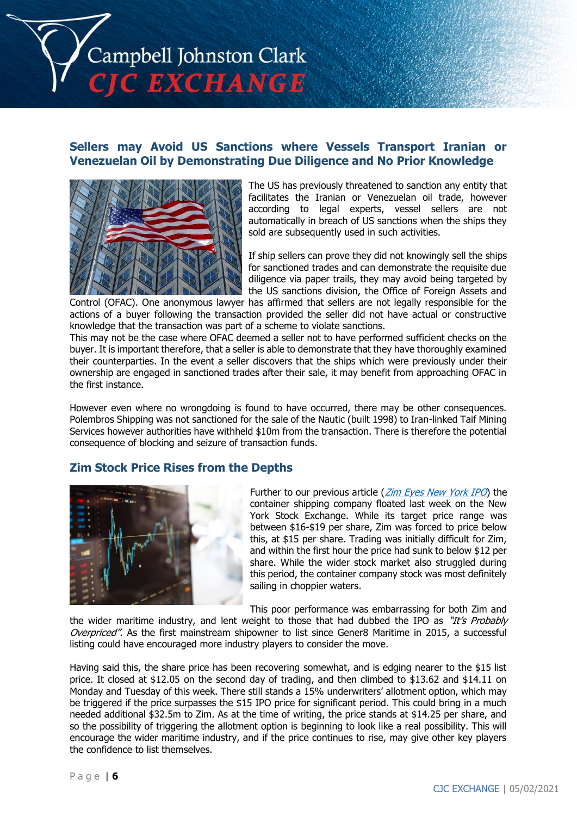

### **Sellers may Avoid US Sanctions where Vessels Transport Iranian or Venezuelan Oil by Demonstrating Due Diligence and No Prior Knowledge**



The US has previously threatened to sanction any entity that facilitates the Iranian or Venezuelan oil trade, however according to legal experts, vessel sellers are not automatically in breach of US sanctions when the ships they sold are subsequently used in such activities.

If ship sellers can prove they did not knowingly sell the ships for sanctioned trades and can demonstrate the requisite due diligence via paper trails, they may avoid being targeted by the US sanctions division, the Office of Foreign Assets and

Control (OFAC). One anonymous lawyer has affirmed that sellers are not legally responsible for the actions of a buyer following the transaction provided the seller did not have actual or constructive knowledge that the transaction was part of a scheme to violate sanctions.

This may not be the case where OFAC deemed a seller not to have performed sufficient checks on the buyer. It is important therefore, that a seller is able to demonstrate that they have thoroughly examined their counterparties. In the event a seller discovers that the ships which were previously under their ownership are engaged in sanctioned trades after their sale, it may benefit from approaching OFAC in the first instance.

However even where no wrongdoing is found to have occurred, there may be other consequences. Polembros Shipping was not sanctioned for the sale of the Nautic (built 1998) to Iran-linked Taif Mining Services however authorities have withheld \$10m from the transaction. There is therefore the potential consequence of blocking and seizure of transaction funds.

### **Zim Stock Price Rises from the Depths**



Further to our previous article (*[Zim Eyes New York IPO](https://www.cjclaw.com/cms/document/cjc-exchange-issue-7.pdf)*) the container shipping company floated last week on the New York Stock Exchange. While its target price range was between \$16-\$19 per share, Zim was forced to price below this, at \$15 per share. Trading was initially difficult for Zim, and within the first hour the price had sunk to below \$12 per share. While the wider stock market also struggled during this period, the container company stock was most definitely sailing in choppier waters.

This poor performance was embarrassing for both Zim and

the wider maritime industry, and lent weight to those that had dubbed the IPO as "It's Probably Overpriced". As the first mainstream shipowner to list since Gener8 Maritime in 2015, a successful listing could have encouraged more industry players to consider the move.

Having said this, the share price has been recovering somewhat, and is edging nearer to the \$15 list price. It closed at \$12.05 on the second day of trading, and then climbed to \$13.62 and \$14.11 on Monday and Tuesday of this week. There still stands a 15% underwriters' allotment option, which may be triggered if the price surpasses the \$15 IPO price for significant period. This could bring in a much needed additional \$32.5m to Zim. As at the time of writing, the price stands at \$14.25 per share, and so the possibility of triggering the allotment option is beginning to look like a real possibility. This will encourage the wider maritime industry, and if the price continues to rise, may give other key players the confidence to list themselves.